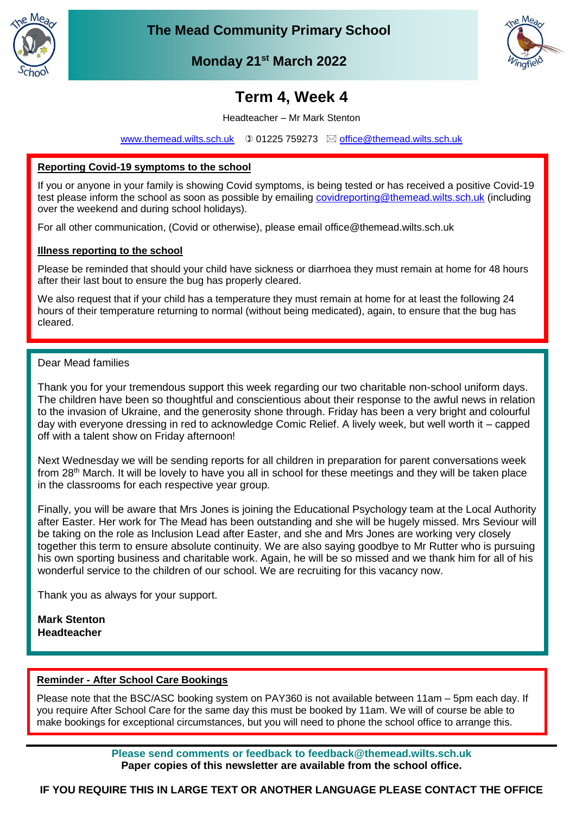

**The Mead Community Primary School**



**Monday 21st March 2022**

# **Term 4, Week 4**

Headteacher – Mr Mark Stenton

[www.themead.wilts.sch.uk](http://www.themead.wilts.sch.uk/)  $\circledcirc$  01225 759273  $\boxtimes$  [office@themead.wilts.sch.uk](mailto:office@themead.wilts.sch.uk)

## **Reporting Covid-19 symptoms to the school**

Thank you for your assistance in helping us keep everyone safe.

If you or anyone in your family is showing Covid symptoms, is being tested or has received a positive Covid-19 test please inform the school as soon as possible by emailing [covidreporting@themead.wilts.sch.uk](mailto:covidreporting@themead.wilts.sch.uk) (including over the weekend and during school holidays).

For all other communication, (Covid or otherwise), please email office@themead.wilts.sch.uk

## **Illness reporting to the school**

Please be reminded that should your child have sickness or diarrhoea they must remain at home for 48 hours after their last bout to ensure the bug has properly cleared.

We also request that if your child has a temperature they must remain at home for at least the following 24 hours of their temperature returning to normal (without being medicated), again, to ensure that the bug has cleared.

## Dear Mead families

Thank you for your tremendous support this week regarding our two charitable non-school uniform days. The children have been so thoughtful and conscientious about their response to the awful news in relation to the invasion of Ukraine, and the generosity shone through. Friday has been a very bright and colourful day with everyone dressing in red to acknowledge Comic Relief. A lively week, but well worth it – capped off with a talent show on Friday afternoon!

Next Wednesday we will be sending reports for all children in preparation for parent conversations week from 28<sup>th</sup> March. It will be lovely to have you all in school for these meetings and they will be taken place in the classrooms for each respective year group.

Finally, you will be aware that Mrs Jones is joining the Educational Psychology team at the Local Authority after Easter. Her work for The Mead has been outstanding and she will be hugely missed. Mrs Seviour will be taking on the role as Inclusion Lead after Easter, and she and Mrs Jones are working very closely together this term to ensure absolute continuity. We are also saying goodbye to Mr Rutter who is pursuing his own sporting business and charitable work. Again, he will be so missed and we thank him for all of his wonderful service to the children of our school. We are recruiting for this vacancy now.

Thank you as always for your support.

**Mark Stenton Headteacher**

#### **Reminder - After School Care Bookings**

Please note that the BSC/ASC booking system on PAY360 is not available between 11am – 5pm each day. If you require After School Care for the same day this must be booked by 11am. We will of course be able to make bookings for exceptional circumstances, but you will need to phone the school office to arrange this.

> **Please send comments or feedback to feedback@themead.wilts.sch.uk Paper copies of this newsletter are available from the school office.**

**IF YOU REQUIRE THIS IN LARGE TEXT OR ANOTHER LANGUAGE PLEASE CONTACT THE OFFICE**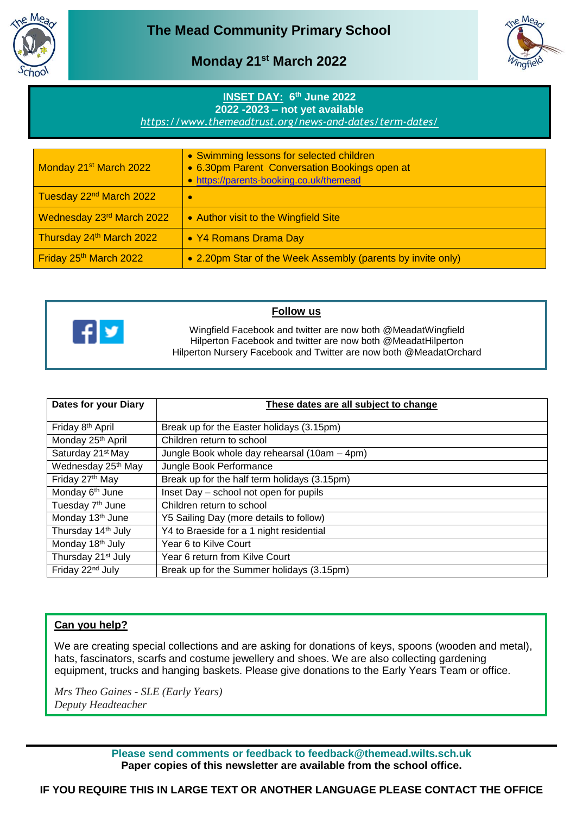



## **Monday 21st March 2022**

## **INSET DAY: 6 th June 2022 2022 -2023 – not yet available**

*<https://www.themeadtrust.org/news-and-dates/term-dates/>*

| Monday 21 <sup>st</sup> March 2022  | • Swimming lessons for selected children<br>• 6.30pm Parent Conversation Bookings open at<br>• https://parents-booking.co.uk/themead |
|-------------------------------------|--------------------------------------------------------------------------------------------------------------------------------------|
| Tuesday 22 <sup>nd</sup> March 2022 | $\bullet$                                                                                                                            |
| Wednesday 23rd March 2022           | • Author visit to the Wingfield Site                                                                                                 |
| Thursday 24th March 2022            | • Y4 Romans Drama Day                                                                                                                |
| Friday 25th March 2022              | • 2.20pm Star of the Week Assembly (parents by invite only)                                                                          |



## **Follow us**

Wingfield Facebook and twitter are now both @MeadatWingfield Hilperton Facebook and twitter are now both @MeadatHilperton Hilperton Nursery Facebook and Twitter are now both @MeadatOrchard

| Dates for your Diary           | These dates are all subject to change        |
|--------------------------------|----------------------------------------------|
| Friday 8 <sup>th</sup> April   | Break up for the Easter holidays (3.15pm)    |
| Monday 25th April              | Children return to school                    |
| Saturday 21 <sup>st</sup> May  | Jungle Book whole day rehearsal (10am - 4pm) |
| Wednesday 25 <sup>th</sup> May | Jungle Book Performance                      |
| Friday 27th May                | Break up for the half term holidays (3.15pm) |
| Monday 6 <sup>th</sup> June    | Inset Day - school not open for pupils       |
| Tuesday 7 <sup>th</sup> June   | Children return to school                    |
| Monday 13 <sup>th</sup> June   | Y5 Sailing Day (more details to follow)      |
| Thursday 14 <sup>th</sup> July | Y4 to Braeside for a 1 night residential     |
| Monday 18 <sup>th</sup> July   | Year 6 to Kilve Court                        |
| Thursday 21 <sup>st</sup> July | Year 6 return from Kilve Court               |
| Friday 22 <sup>nd</sup> July   | Break up for the Summer holidays (3.15pm)    |

## **Can you help?**

We are creating special collections and are asking for donations of keys, spoons (wooden and metal), hats, fascinators, scarfs and costume jewellery and shoes. We are also collecting gardening equipment, trucks and hanging baskets. Please give donations to the Early Years Team or office.

*Mrs Theo Gaines - SLE (Early Years) Deputy Headteacher*

> **Please send comments or feedback to feedback@themead.wilts.sch.uk Paper copies of this newsletter are available from the school office.**

**IF YOU REQUIRE THIS IN LARGE TEXT OR ANOTHER LANGUAGE PLEASE CONTACT THE OFFICE**